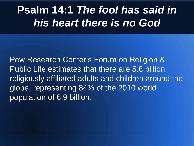## **Psalm 14:1** *The fool has said in his heart there is no God*

Pew Research Center's Forum on Religion & Public Life estimates that there are 5.8 billion religiously affiliated adults and children around the globe, representing 84% of the 2010 world population of 6.9 billion.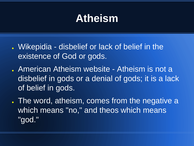## **Atheism**

- Wikepidia disbelief or lack of belief in the existence of God or gods.
- American Atheism website Atheism is not a disbelief in gods or a denial of gods; it is a lack of belief in gods.
- . The word, atheism, comes from the negative a which means "no," and theos which means "god."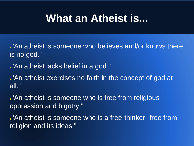## **What an Atheist is...**

- ."An atheist is someone who believes and/or knows there is no god."
- ."An atheist lacks belief in a god."
- ."An atheist exercises no faith in the concept of god at all."
- ."An atheist is someone who is free from religious oppression and bigotry."
- ."An atheist is someone who is a free-thinker--free from religion and its ideas."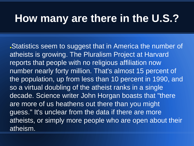### **How many are there in the U.S.?**

Statistics seem to suggest that in America the number of atheists is growing. The Pluralism Project at Harvard reports that people with no religious affiliation now number nearly forty million. That's almost 15 percent of the population, up from less than 10 percent in 1990, and so a virtual doubling of the atheist ranks in a single decade. Science writer John Horgan boasts that "there are more of us heathens out there than you might guess." It's unclear from the data if there are more atheists, or simply more people who are open about their atheism.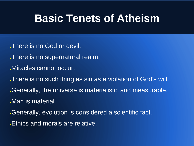#### **Basic Tenets of Atheism**

- . There is no God or devil.
- . There is no supernatural realm.
- Miracles cannot occur.
- . There is no such thing as sin as a violation of God's will. . Generally, the universe is materialistic and measurable. Man is material.
- Generally, evolution is considered a scientific fact.
- Ethics and morals are relative.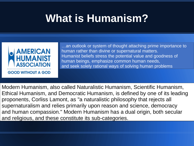## **What is Humanism?**



…an outlook or system of thought attaching prime importance to human rather than divine or supernatural matters. Humanist beliefs stress the potential value and goodness of human beings, emphasize common human needs, and seek solely rational ways of solving human problems

Modern Humanism, also called Naturalistic Humanism, Scientific Humanism, Ethical Humanism, and Democratic Humanism, is defined by one of its leading proponents, Corliss Lamont, as "a naturalistic philosophy that rejects all supernaturalism and relies primarily upon reason and science, democracy and human compassion." Modern Humanism has a dual origin, both secular and religious, and these constitute its sub-categories.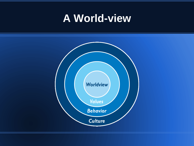## **A World-view**

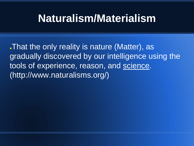## **Naturalism/Materialism**

●That the only reality is nature (Matter), as gradually discovered by our intelligence using the tools of experience, reason, and science. (http://www.naturalisms.org/)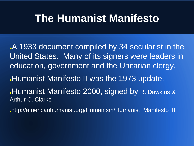### **The Humanist Manifesto**

A 1933 document compiled by 34 secularist in the United States. Many of its signers were leaders in education, government and the Unitarian clergy.

**Humanist Manifesto II was the 1973 update.** 

**Humanist Manifesto 2000, signed by R. Dawkins &** Arthur C. Clarke

●http://americanhumanist.org/Humanism/Humanist\_Manifesto\_III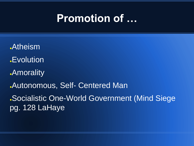### **Promotion of …**

**Atheism .Evolution Amorality** .Autonomous, Self- Centered Man ●Socialistic One-World Government (Mind Siege pg. 128 LaHaye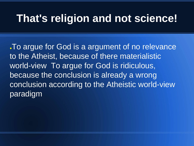### **That's religion and not science!**

. To argue for God is a argument of no relevance to the Atheist, because of there materialistic world-view To argue for God is ridiculous, because the conclusion is already a wrong conclusion according to the Atheistic world-view paradigm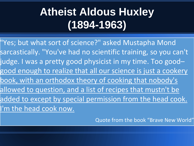# **Atheist Aldous Huxley (1894-1963)**

"Yes; but what sort of science?" asked Mustapha Mond sarcastically. "You've had no scientific training, so you can't judge. I was a pretty good physicist in my time. Too good– good enough to realize that all our science is just a cookery book, with an orthodox theory of cooking that nobody's allowed to question, and a list of recipes that mustn't be added to except by special permission from the head cook. I'm the head cook now.

Quote from the book "Brave New World"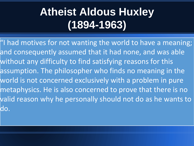# **Atheist Aldous Huxley (1894-1963)**

"I had motives for not wanting the world to have a meaning; and consequently assumed that it had none, and was able without any difficulty to find satisfying reasons for this assumption. The philosopher who finds no meaning in the world is not concerned exclusively with a problem in pure metaphysics. He is also concerned to prove that there is no valid reason why he personally should not do as he wants to do.